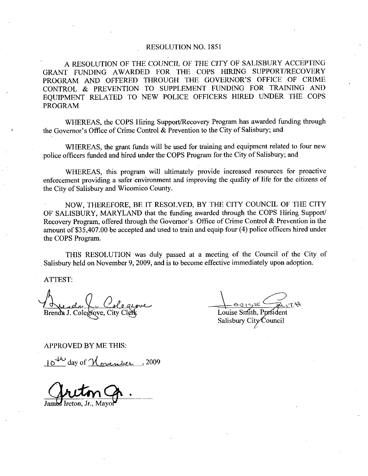## RESOLUTION NO. 1851

A RESOLUTION OF THE COUNCIL OF THE CITY OF SALISBURY ACCEPTING GRANT FUNDING AWARDED FOR THE COPS HIRING SUPPORT/RECOVERY<br>PROGRAM AND OFFERED THROUGH THE GOVERNOR'S OFFICE OF CRIME RESOLUTION NO. 1851<br>A RESOLUTION OF THE COUNCIL OF THE CITY OF SALISBURY ACCEPTING<br>GRANT FUNDING AWARDED FOR THE COPS HIRING SUPPORT/RECOVERY<br>PROGRAM AND OFFERED THROUGH THE GOVERNOR'S OFFICE OF CRIME<br>CONTROL & PREVENTION CONTROL & PREVENTION TO SUPPLEMENT FUNDING FOR TRAINING AND EQUIPMENT RELATED TO NEW POLICE OFFICERS HIRED UNDER THE COPS PROGRAM CONTROL & PREVENTION TO SUPPLEMENT FUNDING FOR TRA<br>EQUIPMENT RELATED TO NEW POLICE OFFICERS HIRED UNDER<br>PROGRAM<br>WHEREAS, the COPS Hiring Support/Recovery Program has awarded fi<br>the Governor's Office of Crime Control & Prev

WHEREAS, the COPS Hiring Support/Recovery Program has awarded funding through the Governor's Office of Crime Control & Prevention to the City of Salisbury; and

WHEREAS, the grant funds will be used for training and equipment related to four new police officers funded and hired under the COPS Program for the City of Salisbury; and

WHEREAS, this program will ultimately provide increased resources for proactive the City of Salisbury and Wicomico County

enforcement providing a safer environment and improving the quality of life for the citizens of<br>the City of Salisbury and Wicomico County.<br>NOW, THEREFORE, BE IT RESOLVED, BY THE CITY COUNCIL OF THE CITY<br>OF SALISBURY, MARYL NOW, THEREFORE, BE IT RESOLVED, BY THE CITY COUNCIL OF THE CITY OF SALISBURY, MARYLAND that the funding awarded through the COPS Hiring Support/ Recovery Program, offered through the Governor's Office of Crime Control & Prevention in the amount of \$35,407.00 be accepted and used to train and equip four (4) police officers hired under the COPS Program

THIS RESOLUTION was duly passed at a meeting of the Council of the City of Salisbury held on November 9, 2009, and is to become effective immediately upon adoption.

ATTEST

1 Lunda V Colegiove

Course Canadian

<u>Leonge</u><br>Louise Smith, Presiden<br>Salisbury City Council

APPROVED BY ME THIS

 $10^{4k}$  day of  $\gamma_{\text{prember}}$ . 2009

r  $m$ 

James Ireton, Jr., Mayo